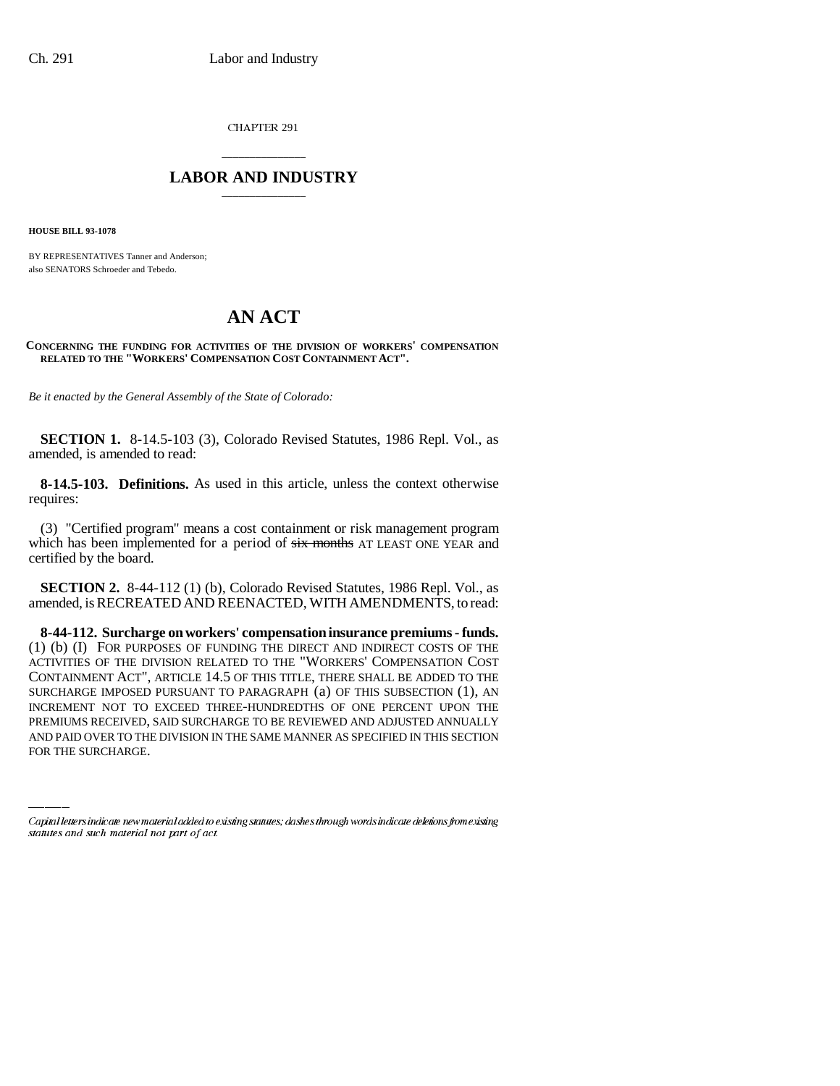CHAPTER 291

## \_\_\_\_\_\_\_\_\_\_\_\_\_\_\_ **LABOR AND INDUSTRY** \_\_\_\_\_\_\_\_\_\_\_\_\_\_\_

**HOUSE BILL 93-1078**

BY REPRESENTATIVES Tanner and Anderson; also SENATORS Schroeder and Tebedo.

## **AN ACT**

## **CONCERNING THE FUNDING FOR ACTIVITIES OF THE DIVISION OF WORKERS' COMPENSATION RELATED TO THE "WORKERS' COMPENSATION COST CONTAINMENT ACT".**

*Be it enacted by the General Assembly of the State of Colorado:*

**SECTION 1.** 8-14.5-103 (3), Colorado Revised Statutes, 1986 Repl. Vol., as amended, is amended to read:

**8-14.5-103. Definitions.** As used in this article, unless the context otherwise requires:

(3) "Certified program" means a cost containment or risk management program which has been implemented for a period of  $six$  months AT LEAST ONE YEAR and certified by the board.

**SECTION 2.** 8-44-112 (1) (b), Colorado Revised Statutes, 1986 Repl. Vol., as amended, is RECREATED AND REENACTED, WITH AMENDMENTS, to read:

INCREMENT NOT TO EXCEED THREE-HUNDREDTHS OF ONE PERCENT UPON THE **8-44-112. Surcharge on workers' compensation insurance premiums - funds.** (1) (b) (I) FOR PURPOSES OF FUNDING THE DIRECT AND INDIRECT COSTS OF THE ACTIVITIES OF THE DIVISION RELATED TO THE "WORKERS' COMPENSATION COST CONTAINMENT ACT", ARTICLE 14.5 OF THIS TITLE, THERE SHALL BE ADDED TO THE SURCHARGE IMPOSED PURSUANT TO PARAGRAPH (a) OF THIS SUBSECTION (1), AN PREMIUMS RECEIVED, SAID SURCHARGE TO BE REVIEWED AND ADJUSTED ANNUALLY AND PAID OVER TO THE DIVISION IN THE SAME MANNER AS SPECIFIED IN THIS SECTION FOR THE SURCHARGE.

Capital letters indicate new material added to existing statutes; dashes through words indicate deletions from existing statutes and such material not part of act.